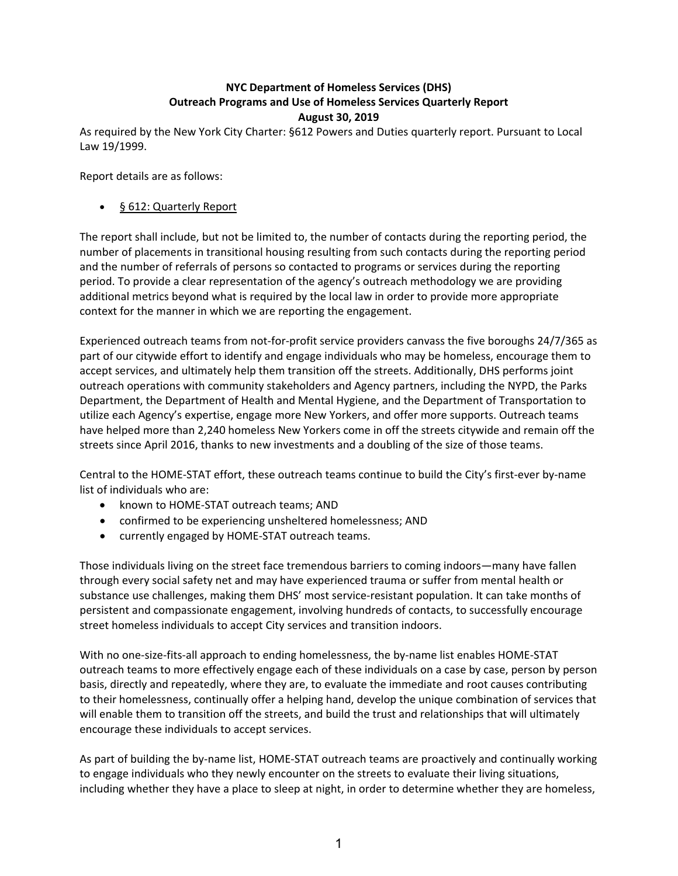## **NYC Department of Homeless Services (DHS) Outreach Programs and Use of Homeless Services Quarterly Report August 30, 2019**

As required by the New York City Charter: §612 Powers and Duties quarterly report. Pursuant to Local Law 19/1999.

Report details are as follows:

## ● § 612: Quarterly Report

The report shall include, but not be limited to, the number of contacts during the reporting period, the number of placements in transitional housing resulting from such contacts during the reporting period and the number of referrals of persons so contacted to programs or services during the reporting period. To provide a clear representation of the agency's outreach methodology we are providing additional metrics beyond what is required by the local law in order to provide more appropriate context for the manner in which we are reporting the engagement.

Experienced outreach teams from not-for-profit service providers canvass the five boroughs 24/7/365 as part of our citywide effort to identify and engage individuals who may be homeless, encourage them to accept services, and ultimately help them transition off the streets. Additionally, DHS performs joint outreach operations with community stakeholders and Agency partners, including the NYPD, the Parks Department, the Department of Health and Mental Hygiene, and the Department of Transportation to utilize each Agency's expertise, engage more New Yorkers, and offer more supports. Outreach teams have helped more than 2,240 homeless New Yorkers come in off the streets citywide and remain off the streets since April 2016, thanks to new investments and a doubling of the size of those teams.

Central to the HOME‐STAT effort, these outreach teams continue to build the City's first‐ever by‐name list of individuals who are:

- known to HOME-STAT outreach teams; AND
- confirmed to be experiencing unsheltered homelessness; AND
- currently engaged by HOME-STAT outreach teams.

Those individuals living on the street face tremendous barriers to coming indoors—many have fallen through every social safety net and may have experienced trauma or suffer from mental health or substance use challenges, making them DHS' most service-resistant population. It can take months of persistent and compassionate engagement, involving hundreds of contacts, to successfully encourage street homeless individuals to accept City services and transition indoors.

With no one-size-fits-all approach to ending homelessness, the by-name list enables HOME-STAT outreach teams to more effectively engage each of these individuals on a case by case, person by person basis, directly and repeatedly, where they are, to evaluate the immediate and root causes contributing to their homelessness, continually offer a helping hand, develop the unique combination of services that will enable them to transition off the streets, and build the trust and relationships that will ultimately encourage these individuals to accept services.

As part of building the by‐name list, HOME‐STAT outreach teams are proactively and continually working to engage individuals who they newly encounter on the streets to evaluate their living situations, including whether they have a place to sleep at night, in order to determine whether they are homeless,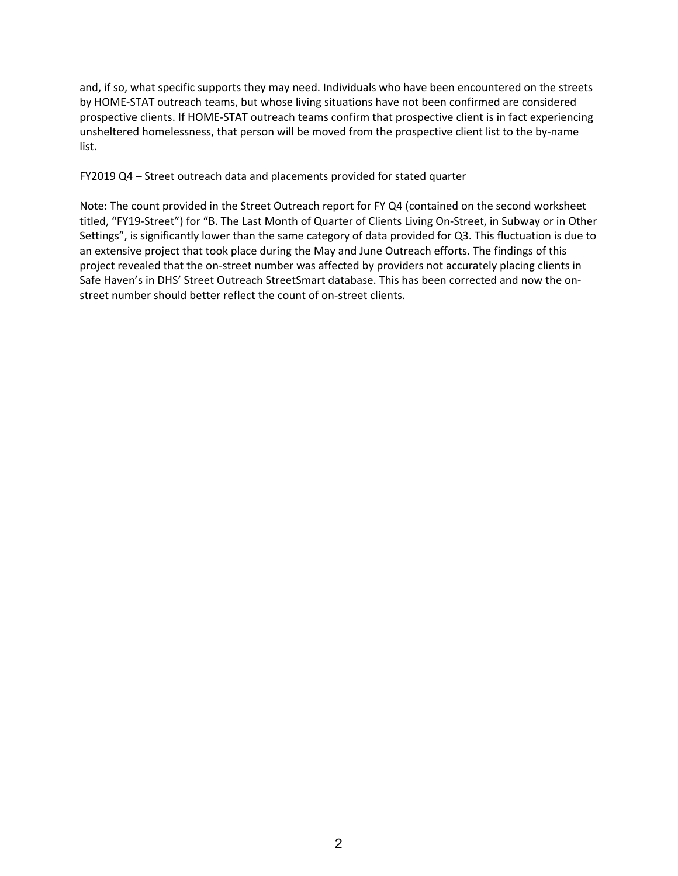and, if so, what specific supports they may need. Individuals who have been encountered on the streets by HOME‐STAT outreach teams, but whose living situations have not been confirmed are considered prospective clients. If HOME‐STAT outreach teams confirm that prospective client is in fact experiencing unsheltered homelessness, that person will be moved from the prospective client list to the by-name list.

FY2019 Q4 – Street outreach data and placements provided for stated quarter

Note: The count provided in the Street Outreach report for FY Q4 (contained on the second worksheet titled, "FY19‐Street") for "B. The Last Month of Quarter of Clients Living On‐Street, in Subway or in Other Settings", is significantly lower than the same category of data provided for Q3. This fluctuation is due to an extensive project that took place during the May and June Outreach efforts. The findings of this project revealed that the on‐street number was affected by providers not accurately placing clients in Safe Haven's in DHS' Street Outreach StreetSmart database. This has been corrected and now the on‐ street number should better reflect the count of on‐street clients.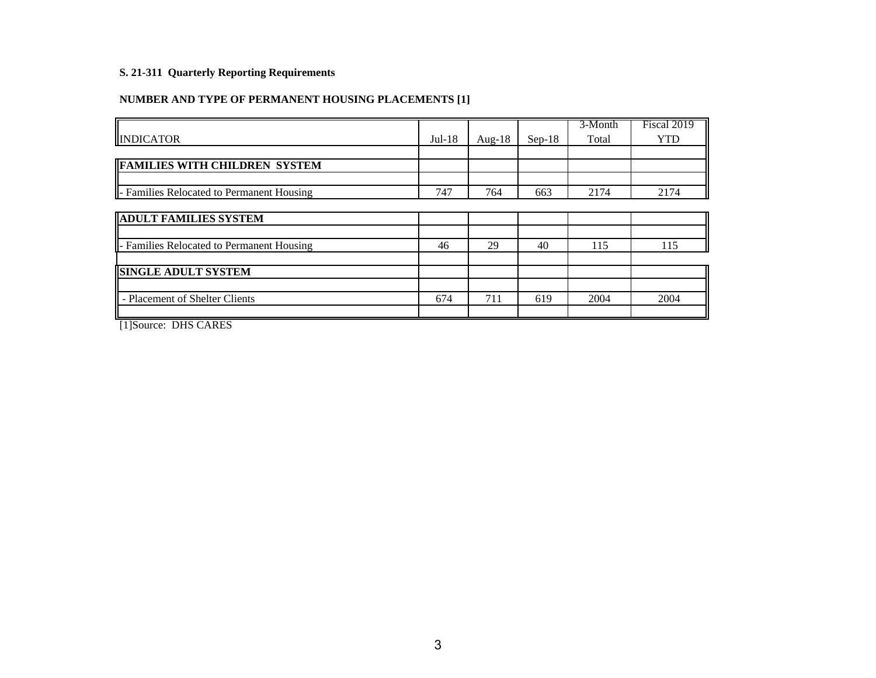# **NUMBER AND TYPE OF PERMANENT HOUSING PLACEMENTS [1]**

|          |           |          | 3-Month | Fiscal 2019 |
|----------|-----------|----------|---------|-------------|
| $Jul-18$ | Aug- $18$ | $Sep-18$ | Total   | <b>YTD</b>  |
|          |           |          |         |             |
|          |           |          |         |             |
|          |           |          |         |             |
| 747      | 764       | 663      | 2174    | 2174        |
|          |           |          |         |             |
|          |           |          |         |             |
|          |           |          |         |             |
| 46       | 29        | 40       | 115     | 115         |
|          |           |          |         |             |
|          |           |          |         |             |
|          |           |          |         |             |
| 674      | 711       | 619      | 2004    | 2004        |
|          |           |          |         |             |
|          |           |          |         |             |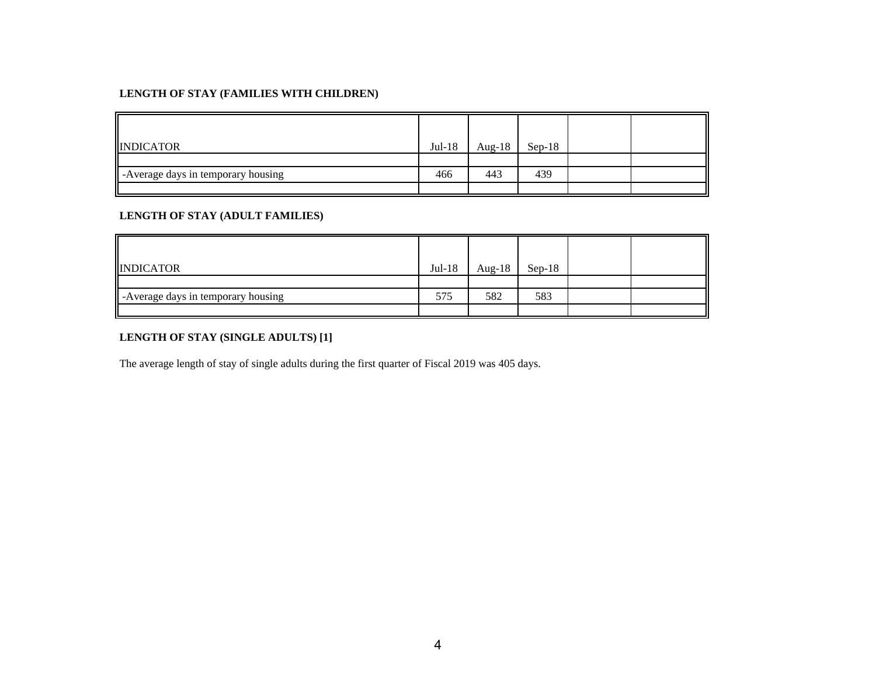| <b>INDICATOR</b>                  | $Jul-18$ | Aug- $18$ | $Sep-18$ |  |
|-----------------------------------|----------|-----------|----------|--|
|                                   |          |           |          |  |
| Average days in temporary housing | 466      | 443       | 439      |  |
|                                   |          |           |          |  |

#### **LENGTH OF STAY (ADULT FAMILIES)**

| <b>INDICATOR</b>                  | $Jul-18$ | Aug-18 | $Sep-18$ |  |
|-----------------------------------|----------|--------|----------|--|
|                                   |          |        |          |  |
| Average days in temporary housing | 575      | 582    | 583      |  |
|                                   |          |        |          |  |

## **LENGTH OF STAY (SINGLE ADULTS) [1]**

The average length of stay of single adults during the first quarter of Fiscal 2019 was 405 days.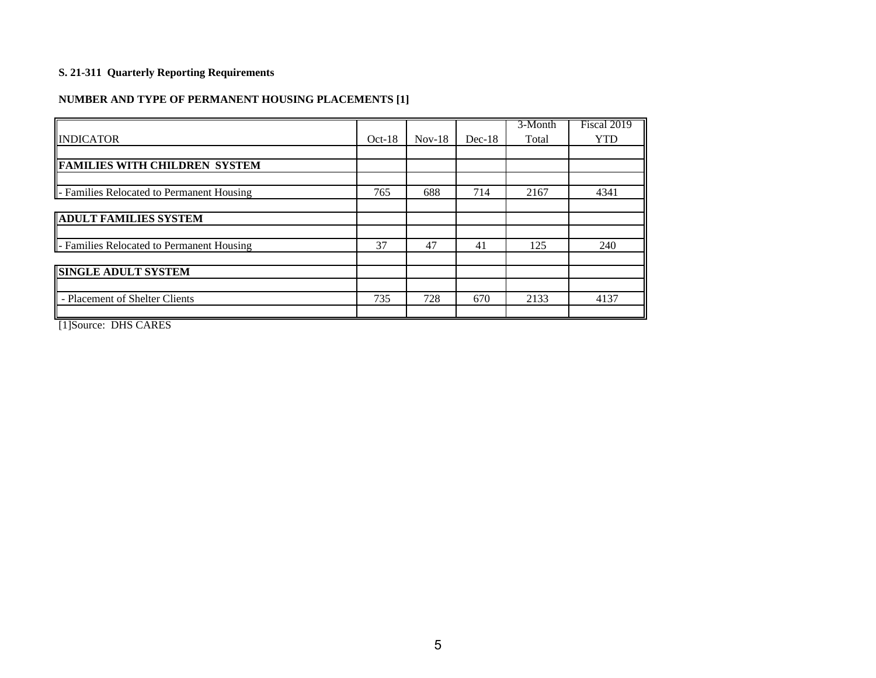# **NUMBER AND TYPE OF PERMANENT HOUSING PLACEMENTS [1]**

|                                           |          |          |          | 3-Month | Fiscal 2019 |
|-------------------------------------------|----------|----------|----------|---------|-------------|
| <b>INDICATOR</b>                          | $Oct-18$ | $Nov-18$ | $Dec-18$ | Total   | <b>YTD</b>  |
|                                           |          |          |          |         |             |
| <b>FAMILIES WITH CHILDREN SYSTEM</b>      |          |          |          |         |             |
|                                           |          |          |          |         |             |
| - Families Relocated to Permanent Housing | 765      | 688      | 714      | 2167    | 4341        |
|                                           |          |          |          |         |             |
| <b>ADULT FAMILIES SYSTEM</b>              |          |          |          |         |             |
|                                           |          |          |          |         |             |
| - Families Relocated to Permanent Housing | 37       | 47       | 41       | 125     | 240         |
|                                           |          |          |          |         |             |
| <b>SINGLE ADULT SYSTEM</b>                |          |          |          |         |             |
|                                           |          |          |          |         |             |
| - Placement of Shelter Clients            | 735      | 728      | 670      | 2133    | 4137        |
| 5.58<br><b>EXAMINER</b>                   |          |          |          |         |             |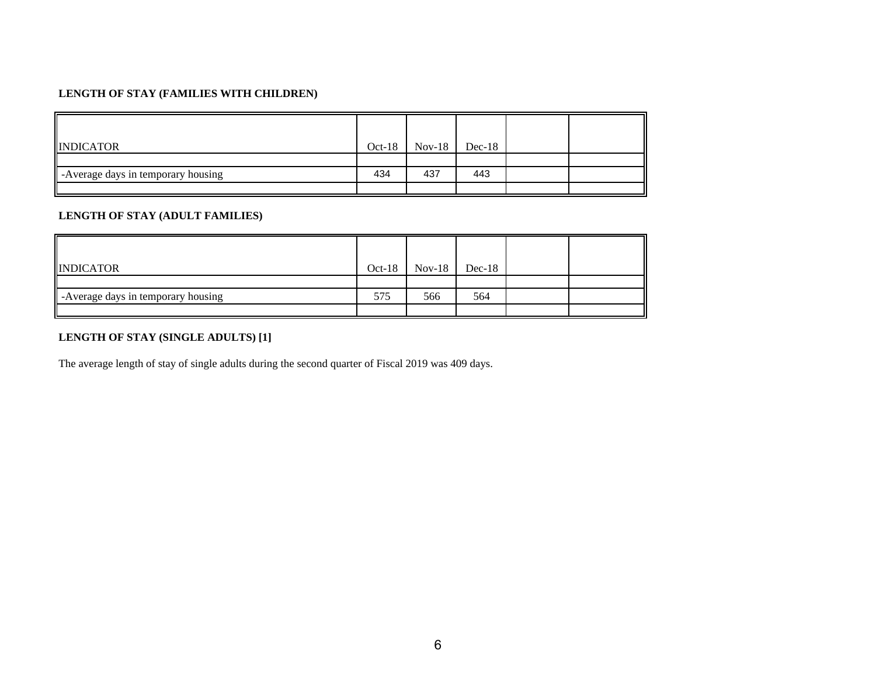| <b>INDICATOR</b>                   | $Oct-18$ | $Nov-18$ | $Dec-18$ |  |
|------------------------------------|----------|----------|----------|--|
|                                    |          |          |          |  |
| -Average days in temporary housing | 434      | 437      | 443      |  |
|                                    |          |          |          |  |

## **LENGTH OF STAY (ADULT FAMILIES)**

| <b>INDICATOR</b>                   | $Oct-18$ | $Nov-18$ | $Dec-18$ |  |
|------------------------------------|----------|----------|----------|--|
|                                    |          |          |          |  |
| -Average days in temporary housing | 575      | 566      | 564      |  |
|                                    |          |          |          |  |

#### **LENGTH OF STAY (SINGLE ADULTS) [1]**

The average length of stay of single adults during the second quarter of Fiscal 2019 was 409 days.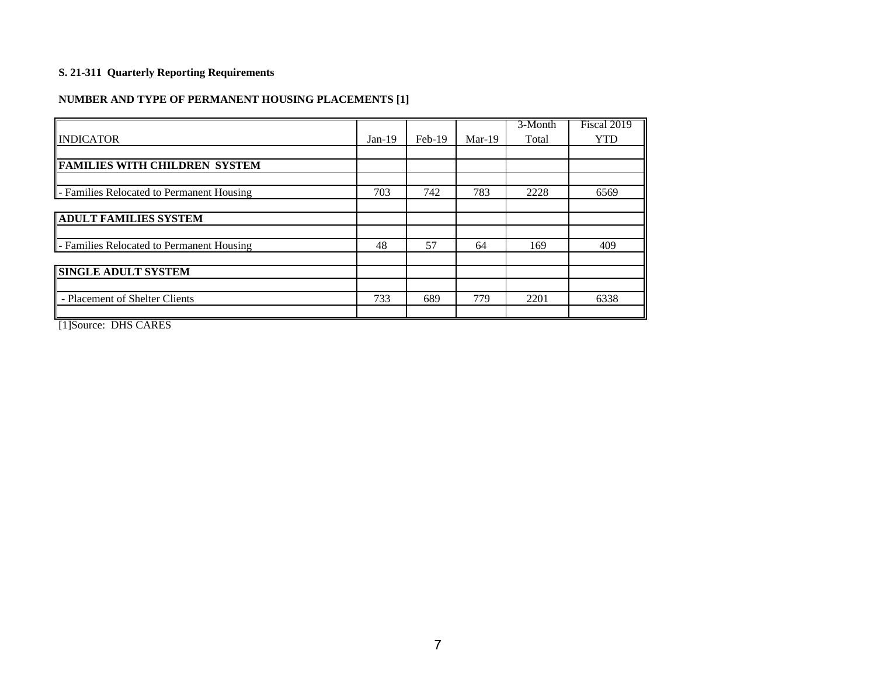# **NUMBER AND TYPE OF PERMANENT HOUSING PLACEMENTS [1]**

|                                               |          |          |          | 3-Month | Fiscal 2019 |
|-----------------------------------------------|----------|----------|----------|---------|-------------|
| <b>INDICATOR</b>                              | $Jan-19$ | $Feb-19$ | $Mar-19$ | Total   | <b>YTD</b>  |
|                                               |          |          |          |         |             |
| <b>FAMILIES WITH CHILDREN SYSTEM</b>          |          |          |          |         |             |
|                                               |          |          |          |         |             |
| - Families Relocated to Permanent Housing     | 703      | 742      | 783      | 2228    | 6569        |
|                                               |          |          |          |         |             |
| <b>ADULT FAMILIES SYSTEM</b>                  |          |          |          |         |             |
|                                               |          |          |          |         |             |
| - Families Relocated to Permanent Housing     | 48       | 57       | 64       | 169     | 409         |
|                                               |          |          |          |         |             |
| <b>SINGLE ADULT SYSTEM</b>                    |          |          |          |         |             |
|                                               |          |          |          |         |             |
| - Placement of Shelter Clients                | 733      | 689      | 779      | 2201    | 6338        |
| $\overline{\phantom{a}}$<br><b>BYYS SIBBS</b> |          |          |          |         |             |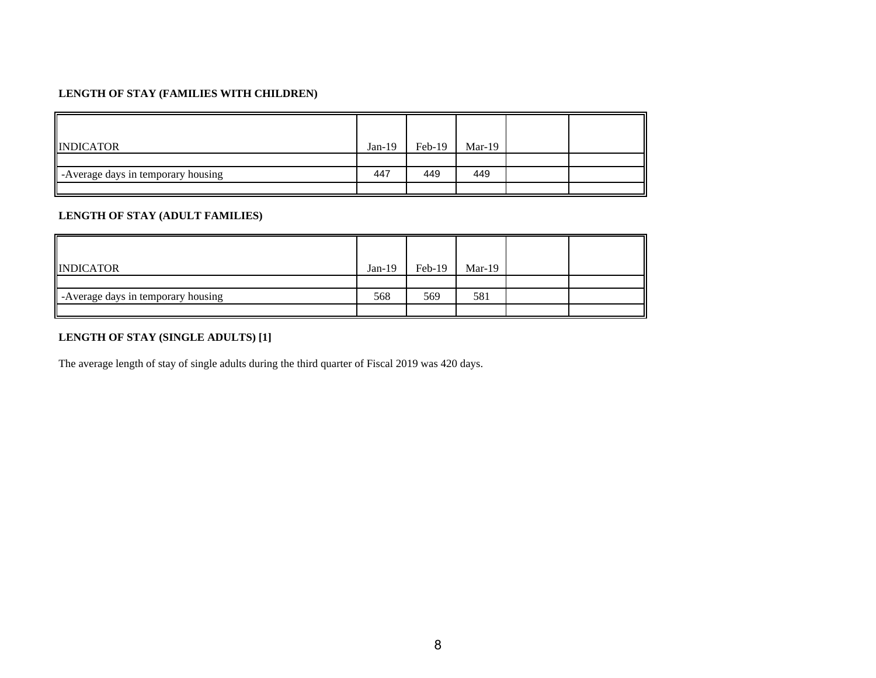| <b>INDICATOR</b>                   | $Jan-19$ | $Feb-19$ | $Mar-19$ |  |
|------------------------------------|----------|----------|----------|--|
|                                    |          |          |          |  |
| -Average days in temporary housing | 447      | 449      | 449      |  |
|                                    |          |          |          |  |

## **LENGTH OF STAY (ADULT FAMILIES)**

| <b>INDICATOR</b>                   | $Jan-19$ | Feb-19 | $Mar-19$ |  |
|------------------------------------|----------|--------|----------|--|
|                                    |          |        |          |  |
| -Average days in temporary housing | 568      | 569    | 581      |  |
|                                    |          |        |          |  |

#### **LENGTH OF STAY (SINGLE ADULTS) [1]**

The average length of stay of single adults during the third quarter of Fiscal 2019 was 420 days.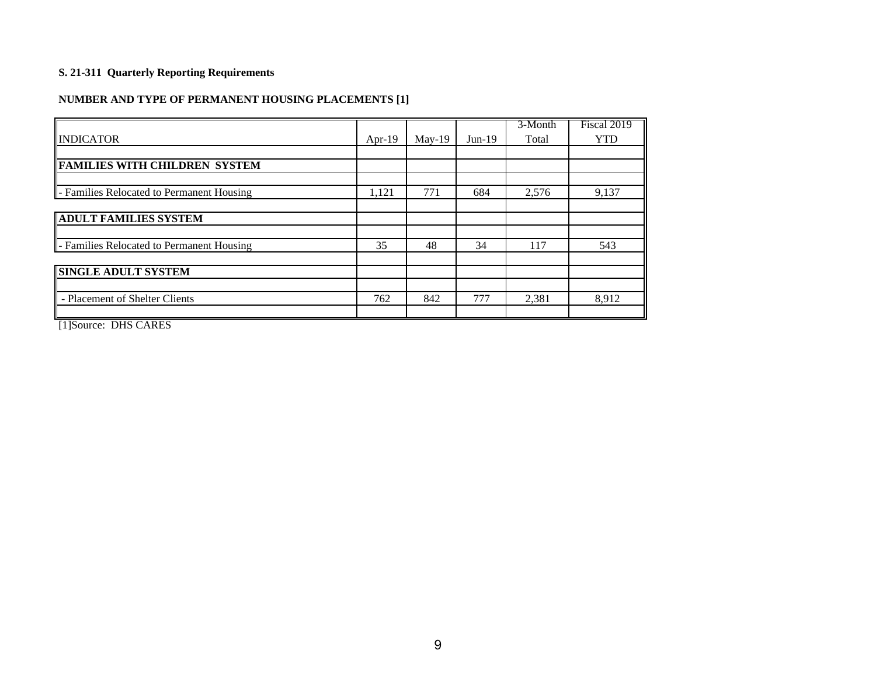# **NUMBER AND TYPE OF PERMANENT HOUSING PLACEMENTS [1]**

|                                               |           |          |          | 3-Month | Fiscal 2019 |
|-----------------------------------------------|-----------|----------|----------|---------|-------------|
| <b>INDICATOR</b>                              | Apr- $19$ | $May-19$ | $Jun-19$ | Total   | <b>YTD</b>  |
|                                               |           |          |          |         |             |
| <b>FAMILIES WITH CHILDREN SYSTEM</b>          |           |          |          |         |             |
|                                               |           |          |          |         |             |
| - Families Relocated to Permanent Housing     | 1,121     | 771      | 684      | 2,576   | 9,137       |
|                                               |           |          |          |         |             |
| <b>ADULT FAMILIES SYSTEM</b>                  |           |          |          |         |             |
|                                               |           |          |          |         |             |
| - Families Relocated to Permanent Housing     | 35        | 48       | 34       | 117     | 543         |
|                                               |           |          |          |         |             |
| <b>SINGLE ADULT SYSTEM</b>                    |           |          |          |         |             |
|                                               |           |          |          |         |             |
| - Placement of Shelter Clients                | 762       | 842      | 777      | 2,381   | 8,912       |
| $\overline{\phantom{a}}$<br><b>BYYS SIBBS</b> |           |          |          |         |             |